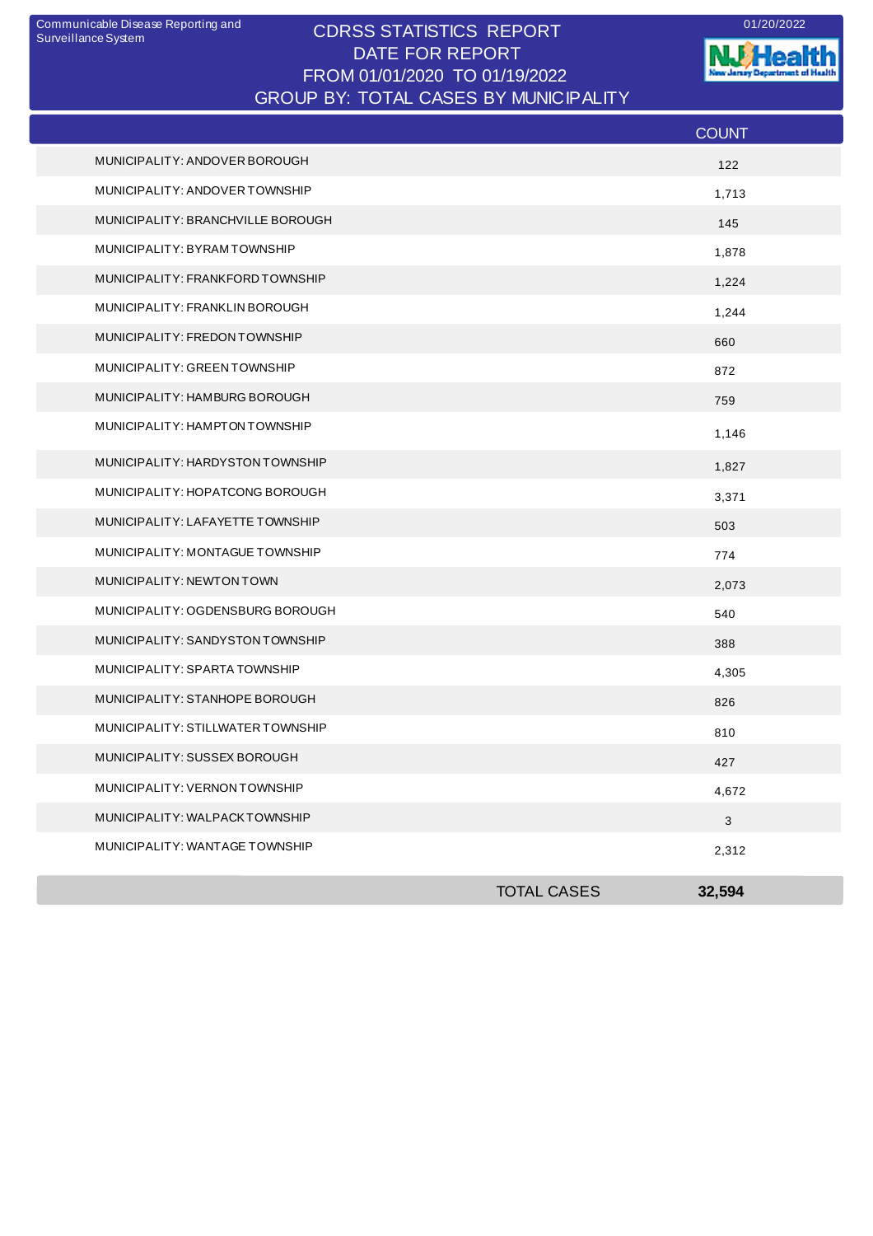## CDRSS STATISTICS REPORT Communicable Disease Reporting and 01/20/2022 DATE FOR REPORT FROM 01/01/2020 TO 01/19/2022 GROUP BY: TOTAL CASES BY MUNICIPALITY

**NJ** Health nt of Health **The Second Clanwrite** 

|                                   |                    | <b>COUNT</b> |
|-----------------------------------|--------------------|--------------|
| MUNICIPALITY: ANDOVER BOROUGH     |                    | 122          |
| MUNICIPALITY: ANDOVER TOWNSHIP    |                    | 1,713        |
| MUNICIPALITY: BRANCHVILLE BOROUGH |                    | 145          |
| MUNICIPALITY: BYRAMTOWNSHIP       |                    | 1,878        |
| MUNICIPALITY: FRANKFORD TOWNSHIP  |                    | 1,224        |
| MUNICIPALITY: FRANKLIN BOROUGH    |                    | 1,244        |
| MUNICIPALITY: FREDON TOWNSHIP     |                    | 660          |
| MUNICIPALITY: GREEN TOWNSHIP      |                    | 872          |
| MUNICIPALITY: HAMBURG BOROUGH     |                    | 759          |
| MUNICIPALITY: HAMPTON TOWNSHIP    |                    | 1,146        |
| MUNICIPALITY: HARDYSTON TOWNSHIP  |                    | 1,827        |
| MUNICIPALITY: HOPATCONG BOROUGH   |                    | 3,371        |
| MUNICIPALITY: LAFAYETTE TOWNSHIP  |                    | 503          |
| MUNICIPALITY: MONTAGUE TOWNSHIP   |                    | 774          |
| MUNICIPALITY: NEWTON TOWN         |                    | 2,073        |
| MUNICIPALITY: OGDENSBURG BOROUGH  |                    | 540          |
| MUNICIPALITY: SANDYSTON TOWNSHIP  |                    | 388          |
| MUNICIPALITY: SPARTA TOWNSHIP     |                    | 4,305        |
| MUNICIPALITY: STANHOPE BOROUGH    |                    | 826          |
| MUNICIPALITY: STILLWATER TOWNSHIP |                    | 810          |
| MUNICIPALITY: SUSSEX BOROUGH      |                    | 427          |
| MUNICIPALITY: VERNON TOWNSHIP     |                    | 4,672        |
| MUNICIPALITY: WALPACKTOWNSHIP     |                    | $\mathbf{3}$ |
| MUNICIPALITY: WANTAGE TOWNSHIP    |                    | 2,312        |
|                                   | <b>TOTAL CASES</b> | 32,594       |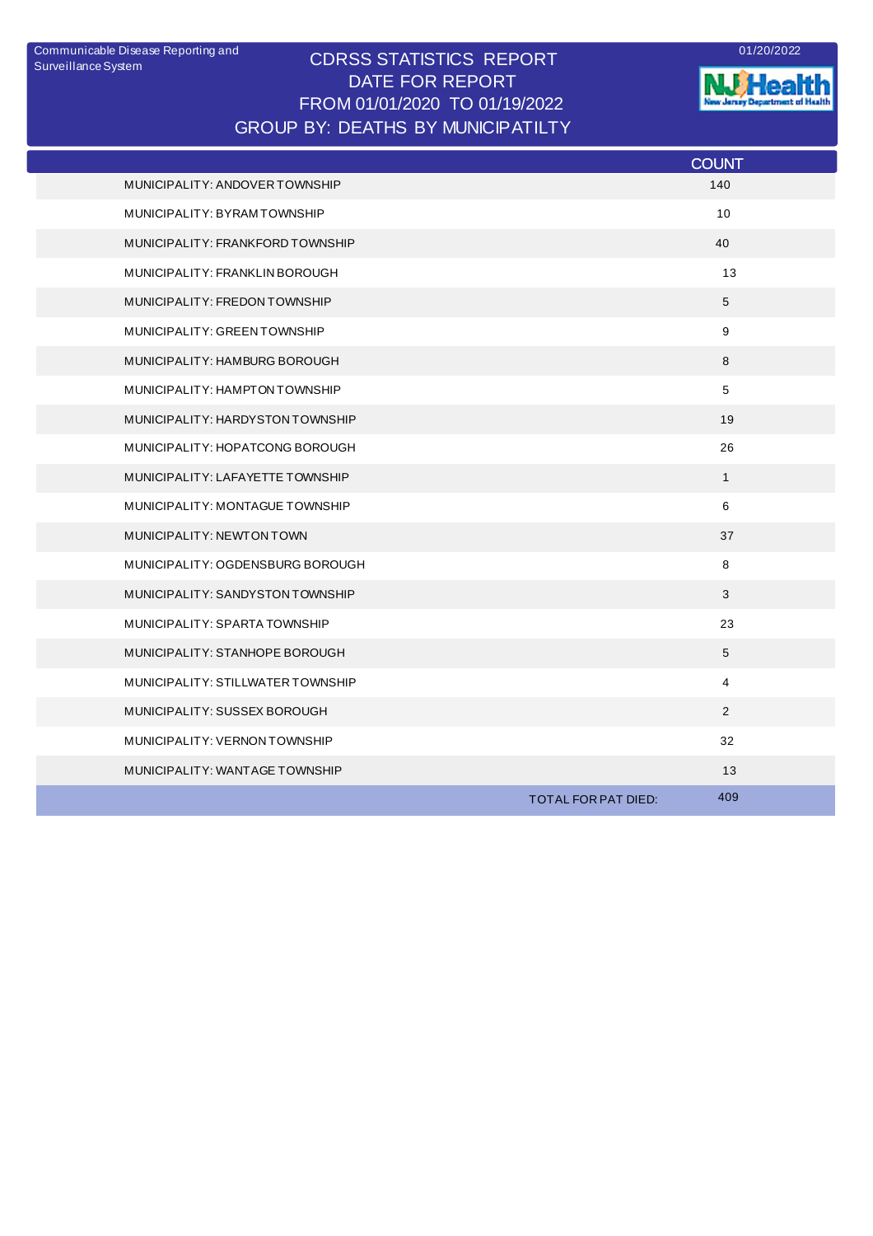## CDRSS STATISTICS REPORT DATE FOR REPORT FROM 01/01/2020 TO 01/19/2022 Communicable Disease Reporting and <br>
CODCO CTATICTICO DEDODT GROUP BY: DEATHS BY MUNICIPATILTY



**NJ Health** 

|                                   | <b>COUNT</b>               |  |
|-----------------------------------|----------------------------|--|
| MUNICIPALITY: ANDOVER TOWNSHIP    | 140                        |  |
| MUNICIPALITY: BYRAMTOWNSHIP       | 10                         |  |
| MUNICIPALITY: FRANKFORD TOWNSHIP  | 40                         |  |
| MUNICIPALITY: FRANKLIN BOROUGH    | 13                         |  |
| MUNICIPALITY: FREDON TOWNSHIP     | 5                          |  |
| MUNICIPALITY: GREEN TOWNSHIP      | 9                          |  |
| MUNICIPALITY: HAMBURG BOROUGH     | 8                          |  |
| MUNICIPALITY: HAMPTON TOWNSHIP    | 5                          |  |
| MUNICIPALITY: HARDYSTON TOWNSHIP  | 19                         |  |
| MUNICIPALITY: HOPATCONG BOROUGH   | 26                         |  |
| MUNICIPALITY: LAFAYETTE TOWNSHIP  | $\mathbf{1}$               |  |
| MUNICIPALITY: MONTAGUE TOWNSHIP   | 6                          |  |
| MUNICIPALITY: NEWTON TOWN         | 37                         |  |
| MUNICIPALITY: OGDENSBURG BOROUGH  | 8                          |  |
| MUNICIPALITY: SANDYSTON TOWNSHIP  | 3                          |  |
| MUNICIPALITY: SPARTA TOWNSHIP     | 23                         |  |
| MUNICIPALITY: STANHOPE BOROUGH    | $\sqrt{5}$                 |  |
| MUNICIPALITY: STILLWATER TOWNSHIP | 4                          |  |
| MUNICIPALITY: SUSSEX BOROUGH      | 2                          |  |
| MUNICIPALITY: VERNON TOWNSHIP     | 32                         |  |
| MUNICIPALITY: WANTAGE TOWNSHIP    | 13                         |  |
|                                   | 409<br>TOTAL FOR PAT DIED: |  |
|                                   |                            |  |